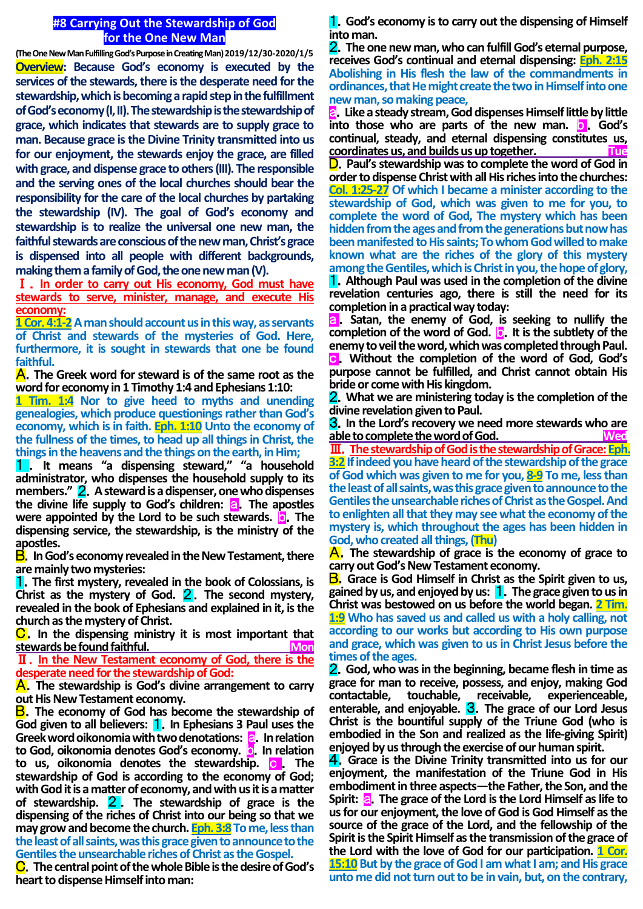## **#8 Carrying Out the Stewardship of God for the One New Man**

**(The One New Man Fulfilling God's Purpose in Creating Man) 2019/12/30-2020/1/5 Overview: Because God's economy is executed by the services of the stewards, there is the desperate need for the stewardship, which is becoming a rapid step in the fulfillment of God's economy (I, II). The stewardship is the stewardship of grace, which indicates that stewards are to supply grace to man. Because grace is the Divine Trinity transmitted into us for our enjoyment, the stewards enjoy the grace, are filled with grace, and dispense grace to others (III). The responsible and the serving ones of the local churches should bear the responsibility for the care of the local churches by partaking the stewardship (IV). The goal of God's economy and stewardship is to realize the universal one new man, the faithful stewards are conscious of the new man, Christ's grace is dispensed into all people with different backgrounds, making them a family of God, the one new man (V).**

Ⅰ.**In order to carry out His economy, God must have stewards to serve, minister, manage, and execute His economy:**

**1 Cor. 4:1-2** A man should account us in this way, as servants **of Christ and stewards of the mysteries of God. Here, furthermore, it is sought in stewards that one be found faithful.**

A.**The Greek word for steward is of the same root as the word for economy in 1 Timothy 1:4 and Ephesians 1:10:**

**1 Tim. 1:4 Nor to give heed to myths and unending genealogies, which produce questionings rather than God's economy, which is in faith. Eph. 1:10 Unto the economy of the fullness of the times, to head up all things in Christ, the things in the heavens and the things on the earth, in Him;**

1 . **It means "a dispensing steward," "a household administrator, who dispenses the household supply to its members."** 2.**Asteward is a dispenser, one who dispenses the divine life supply to God's children: a. The apostles were appointed by the Lord to be such stewards. <b>D.** The **dispensing service, the stewardship, is the ministry of the apostles.**

B.**In God's economy revealed in the New Testament, there are mainly two mysteries:**

1.**The first mystery, revealed in the book of Colossians, is**  Christ as the mystery of God. 2. The second mystery, **revealed in the book of Ephesians and explained in it, is the church as the mystery of Christ.**

C.**In the dispensing ministry it is most important that stewards be found faithful. Constant of the Second Monet Constant of the Second Monet Constant Oriental Constant Oriental Constant Oriental Constant Oriental Constant Oriental Constant Oriental Constant Oriental Constan** Ⅱ.**In the New Testament economy of God, there is the** 

**desperate need for the stewardship of God:**

A.**The stewardship is God's divine arrangement to carry out His New Testament economy.**

B.**The economy of God has become the stewardship of**  God given to all believers: **1**. In Ephesians 3 Paul uses the **Greek word oikonomia with two denotations: a.** In relation **to God, oikonomia denotes God's economy. o.** In relation **to us, oikonomia denotes the stewardship. C. The stewardship of God is according to the economy of God; with God it is a matter of economy, and with us it is a matter of stewardship.** 2 . **The stewardship of grace is the dispensing of the riches of Christ into our being so that we may grow and become the church. Eph. 3:8** To me, less than **the least of all saints, was this grace given to announce to the Gentiles the unsearchable riches of Christ as the Gospel.**

C.**The central point of the whole Bible is the desire of God's heart to dispense Himself into man:**

1.**God's economy is to carry out the dispensing of Himself into man.**

2.**The one new man, who can fulfill God's eternal purpose, receives God's continual and eternal dispensing: Eph. 2:15 Abolishing in His flesh the law of the commandments in ordinances, that He might create the two in Himself into one new man, so making peace,**

a.**Like a steady stream, God dispenses Himself little by little into those who are parts of the new man. <b>b** . God's **continual, steady, and eternal dispensing constitutes us, coordinates us, and builds us up together. Tue**

D.**Paul's stewardship was to complete the word of God in order to dispense Christ with all His riches into the churches: Col. 1:25-27 Of which I became a minister according to the stewardship of God, which was given to me for you, to complete the word of God, The mystery which has been hidden from the ages and from the generations but now has been manifested to His saints; To whom God willed to make known what are the riches of the glory of this mystery among the Gentiles, which is Christ in you, the hope of glory,** 1.**Although Paul was used in the completion of the divine** 

**revelation centuries ago, there is still the need for its completion in a practical way today:**

**a.** Satan, the enemy of God, is seeking to nullify the **completion of the word of God. <b>b.** It is the subtlety of the **enemy to veil the word, which was completed through Paul.** c.**Without the completion of the word of God, God's purpose cannot be fulfilled, and Christ cannot obtain His bride or come with His kingdom.**

2.**What we are ministering today is the completion of the divine revelation given to Paul.**

3.**In the Lord's recovery we need more stewards who are**  able to complete the word of God.

Ⅲ.**The stewardship of God is the stewardship of Grace: Eph. 3:2 If indeed you have heard of the stewardship of the grace of God which was given to me for you, 8-9 To me, less than the least of all saints, was this grace given to announce to the Gentiles the unsearchable riches of Christ as the Gospel. And to enlighten all that they may see what the economy of the mystery is, which throughout the ages has been hidden in God, who created all things,(Thu)**

A.**The stewardship of grace is the economy of grace to carry out God's New Testament economy.**

B.**Grace is God Himself in Christ as the Spirit given to us, gained by us, and enjoyed by us:** 1.**The grace given to us in Christ was bestowed on us before the world began. 2 Tim. 1:9 Who has saved us and called us with a holy calling, not according to our works but according to His own purpose and grace, which was given to us in Christ Jesus before the times of the ages.**

2.**God, who was in the beginning, became flesh in time as grace for man to receive, possess, and enjoy, making God contactable, touchable, receivable, experienceable, enterable, and enjoyable.** 3.**The grace of our Lord Jesus Christ is the bountiful supply of the Triune God (who is embodied in the Son and realized as the life-giving Spirit) enjoyed by us through the exercise of our human spirit.**

4.**Grace is the Divine Trinity transmitted into us for our enjoyment, the manifestation of the Triune God in His embodiment in three aspects—the Father, the Son, and the Spirit: a.** The grace of the Lord is the Lord Himself as life to **us for our enjoyment, the love of God is God Himself as the source of the grace of the Lord, and the fellowship of the Spirit is the Spirit Himself as the transmission of the grace of the Lord with the love of God for our participation. 1 Cor. 15:10 But by the grace of God I am what I am; and His grace unto me did not turn out to be in vain, but, on the contrary,**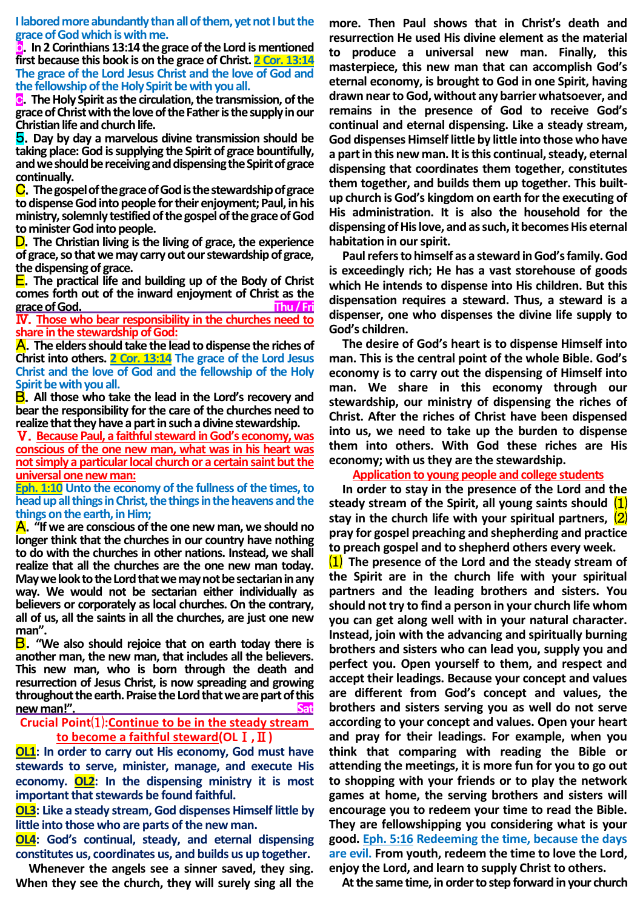**I labored more abundantly than all of them, yet not I but the grace of God which is with me.**

b.**In 2 Corinthians 13:14 the grace of the Lord is mentioned first because this book is on the grace of Christ. 2 Cor. 13:14 The grace of the Lord Jesus Christ and the love of God and the fellowship of the Holy Spirit be with you all.**

c.**The Holy Spirit as the circulation, the transmission, of the grace of Christ with the love of the Father is the supply in our Christian life and church life.**

5.**Day by day a marvelous divine transmission should be taking place: God is supplying the Spirit of grace bountifully, and we should be receiving and dispensing the Spirit of grace continually.**

C.**The gospel of the grace of God is the stewardship of grace to dispense God into people for their enjoyment; Paul, in his ministry, solemnly testified of the gospel of the grace of God to minister God into people.**

D.**The Christian living is the living of grace, the experience of grace, so that we may carry out our stewardship of grace, the dispensing of grace.**

E.**The practical life and building up of the Body of Christ comes forth out of the inward enjoyment of Christ as the grace of God. Thu/Fri**

Ⅳ.**Those who bear responsibility in the churches need to share in the stewardship of God:**

A.**The elders should take the lead to dispense the riches of Christ into others. 2 Cor. 13:14 The grace of the Lord Jesus Christ and the love of God and the fellowship of the Holy Spirit be with you all.**

B.**All those who take the lead in the Lord's recovery and bear the responsibility for the care of the churches need to realize that they have a part in such a divine stewardship.**

Ⅴ.**Because Paul, a faithful steward in God's economy, was conscious of the one new man, what was in his heart was not simply a particular local church or a certain saint but the universal one new man:**

**Eph. 1:10 Unto the economy of the fullness of the times, to head up all things in Christ, the things in the heavens and the things on the earth, in Him;**

A.**"If we are conscious of the one new man, we should no longer think that the churches in our country have nothing to do with the churches in other nations. Instead, we shall realize that all the churches are the one new man today. May we look to the Lord that we may not be sectarian in any way. We would not be sectarian either individually as believers or corporately as local churches. On the contrary, all of us, all the saints in all the churches, are just one new man".**

B.**"We also should rejoice that on earth today there is another man, the new man, that includes all the believers. This new man, who is born through the death and resurrection of Jesus Christ, is now spreading and growing throughout the earth. Praise the Lord that we are part of this**   $new man!"$ 

## **Crucial Point**⑴**:Continue to be in the steady stream to become a faithful steward(OL**Ⅰ**,**Ⅱ**)**

**OL1: In order to carry out His economy, God must have stewards to serve, minister, manage, and execute His economy. OL2: In the dispensing ministry it is most important that stewards be found faithful.**

**OL3: Like a steady stream, God dispenses Himself little by little into those who are parts of the new man.**

**OL4: God's continual, steady, and eternal dispensing constitutes us, coordinates us, and builds us up together.**

**Whenever the angels see a sinner saved, they sing. When they see the church, they will surely sing all the** 

**more. Then Paul shows that in Christ's death and resurrection He used His divine element as the material to produce a universal new man. Finally, this masterpiece, this new man that can accomplish God's eternal economy, is brought to God in one Spirit, having drawn near to God, without any barrier whatsoever, and remains in the presence of God to receive God's continual and eternal dispensing. Like a steady stream, God dispenses Himself little by little into those who have a part in this new man. It is this continual, steady, eternal dispensing that coordinates them together, constitutes them together, and builds them up together. This builtup church is God's kingdom on earth for the executing of His administration. It is also the household for the dispensing of His love, and as such, it becomes His eternal habitation in our spirit.**

**Paul refers to himself as a steward in God's family. God is exceedingly rich; He has a vast storehouse of goods which He intends to dispense into His children. But this dispensation requires a steward. Thus, a steward is a dispenser, one who dispenses the divine life supply to God's children.**

**The desire of God's heart is to dispense Himself into man. This is the central point of the whole Bible. God's economy is to carry out the dispensing of Himself into man. We share in this economy through our stewardship, our ministry of dispensing the riches of Christ. After the riches of Christ have been dispensed into us, we need to take up the burden to dispense them into others. With God these riches are His economy; with us they are the stewardship.**

**Application to young people and college students**

**In order to stay in the presence of the Lord and the steady stream of the Spirit, all young saints should** ⑴ **stay in the church life with your spiritual partners,** ⑵ **pray for gospel preaching and shepherding and practice to preach gospel and to shepherd others every week.**

⑴ **The presence of the Lord and the steady stream of the Spirit are in the church life with your spiritual partners and the leading brothers and sisters. You should not try to find a person in your church life whom you can get along well with in your natural character. Instead, join with the advancing and spiritually burning brothers and sisters who can lead you, supply you and perfect you. Open yourself to them, and respect and accept their leadings. Because your concept and values are different from God's concept and values, the brothers and sisters serving you as well do not serve according to your concept and values. Open your heart and pray for their leadings. For example, when you think that comparing with reading the Bible or attending the meetings, it is more fun for you to go out to shopping with your friends or to play the network games at home, the serving brothers and sisters will encourage you to redeem your time to read the Bible. They are fellowshipping you considering what is your good. Eph. 5:16 Redeeming the time, because the days are evil. From youth, redeem the time to love the Lord, enjoy the Lord, and learn to supply Christ to others.**

**At the same time, in order to step forward in your church**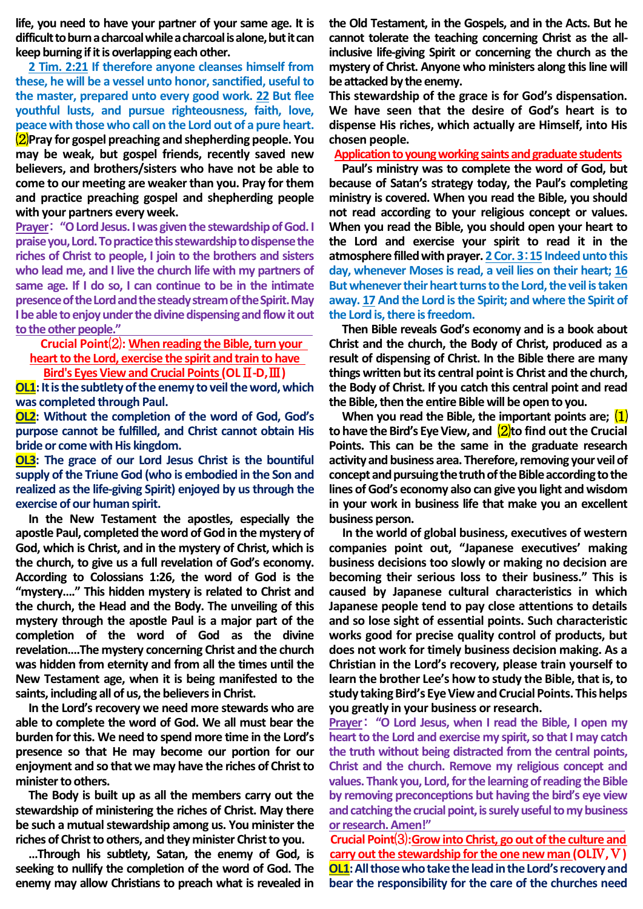**life, you need to have your partner of your same age. It is difficult to burn a charcoal while a charcoal is alone, but it can keep burning if it is overlapping each other.**

**2 Tim. 2:21 If therefore anyone cleanses himself from these, he will be a vessel unto honor, sanctified, useful to the master, prepared unto every good work. 22 But flee youthful lusts, and pursue righteousness, faith, love, peace with those who call on the Lord out of a pure heart.** ⑵**Pray for gospel preaching and shepherding people. You may be weak, but gospel friends, recently saved new believers, and brothers/sisters who have not be able to come to our meeting are weaker than you. Pray for them and practice preaching gospel and shepherding people with your partners every week.** 

**Prayer**: **"O Lord Jesus. I was given the stewardship of God. I praise you, Lord. To practice this stewardship to dispense the riches of Christ to people, I join to the brothers and sisters who lead me, and I live the church life with my partners of same age. If I do so, I can continue to be in the intimate presence of the Lord and the steady stream of the Spirit. May I be able to enjoy under the divine dispensing and flow it out to the other people."** 

**Crucial Point**⑵**: When reading the Bible, turn your**

**heart to the Lord, exercise the spirit and train to have** 

**Bird's Eyes View and Crucial Points (OL**Ⅱ**-D,**Ⅲ**)**

**OL1**: It is the subtlety of the enemy to veil the word, which **was completed through Paul.**

**OL2: Without the completion of the word of God, God's purpose cannot be fulfilled, and Christ cannot obtain His bride or come with His kingdom.**

**OL3: The grace of our Lord Jesus Christ is the bountiful supply of the Triune God (who is embodied in the Son and realized as the life-giving Spirit) enjoyed by us through the exercise of our human spirit.**

**In the New Testament the apostles, especially the apostle Paul, completed the word of God in the mystery of God, which is Christ, and in the mystery of Christ, which is the church, to give us a full revelation of God's economy. According to Colossians 1:26, the word of God is the "mystery…." This hidden mystery is related to Christ and the church, the Head and the Body. The unveiling of this mystery through the apostle Paul is a major part of the completion of the word of God as the divine revelation….The mystery concerning Christ and the church was hidden from eternity and from all the times until the New Testament age, when it is being manifested to the saints, including all of us, the believers in Christ.**

**In the Lord's recovery we need more stewards who are able to complete the word of God. We all must bear the burden for this. We need to spend more time in the Lord's presence so that He may become our portion for our enjoyment and so that we may have the riches of Christ to minister to others.**

**The Body is built up as all the members carry out the stewardship of ministering the riches of Christ. May there be such a mutual stewardship among us. You minister the riches of Christ to others, and they minister Christ to you.**

**…Through his subtlety, Satan, the enemy of God, is seeking to nullify the completion of the word of God. The enemy may allow Christians to preach what is revealed in**  **the Old Testament, in the Gospels, and in the Acts. But he cannot tolerate the teaching concerning Christ as the allinclusive life-giving Spirit or concerning the church as the mystery of Christ. Anyone who ministers along this line will be attacked by the enemy.**

**This stewardship of the grace is for God's dispensation. We have seen that the desire of God's heart is to dispense His riches, which actually are Himself, into His chosen people.**

**Application to young working saints and graduate students**

**Paul's ministry was to complete the word of God, but because of Satan's strategy today, the Paul's completing ministry is covered. When you read the Bible, you should not read according to your religious concept or values. When you read the Bible, you should open your heart to the Lord and exercise your spirit to read it in the atmosphere filled with prayer. 2 Cor. 3**:**15 Indeed unto this day, whenever Moses is read, a veil lies on their heart; 16 But whenever their heart turns to the Lord, the veil is taken away. 17 And the Lord is the Spirit; and where the Spirit of the Lord is, there is freedom.**

**Then Bible reveals God's economy and is a book about Christ and the church, the Body of Christ, produced as a result of dispensing of Christ. In the Bible there are many things written but its central point is Christ and the church, the Body of Christ. If you catch this central point and read the Bible, then the entire Bible will be open to you.**

**When you read the Bible, the important points are;** ⑴ **to have the Bird's Eye View, and** ⑵**to find out the Crucial Points. This can be the same in the graduate research activity and business area. Therefore, removing your veil of concept and pursuing the truth of the Bible according to the lines of God's economy also can give you light and wisdom in your work in business life that make you an excellent business person.**

**In the world of global business, executives of western companies point out, "Japanese executives' making business decisions too slowly or making no decision are becoming their serious loss to their business." This is caused by Japanese cultural characteristics in which Japanese people tend to pay close attentions to details and so lose sight of essential points. Such characteristic works good for precise quality control of products, but does not work for timely business decision making. As a Christian in the Lord's recovery, please train yourself to learn the brother Lee's how to study the Bible, that is, to study taking Bird's Eye View and Crucial Points. This helps you greatly in your business or research.**

**Prayer**: **"O Lord Jesus, when I read the Bible, I open my heart to the Lord and exercise my spirit, so that I may catch the truth without being distracted from the central points, Christ and the church. Remove my religious concept and values. Thank you, Lord, for the learning of reading the Bible by removing preconceptions but having the bird's eye view and catching the crucial point, is surely useful to my business or research.Amen!"** 

**Crucial Point**⑶**:Grow into Christ, go out of the culture and carry out the stewardship for the one new man (OL**Ⅳ**,**Ⅴ**) OL1: All those who take the lead in the Lord's recovery and bear the responsibility for the care of the churches need**